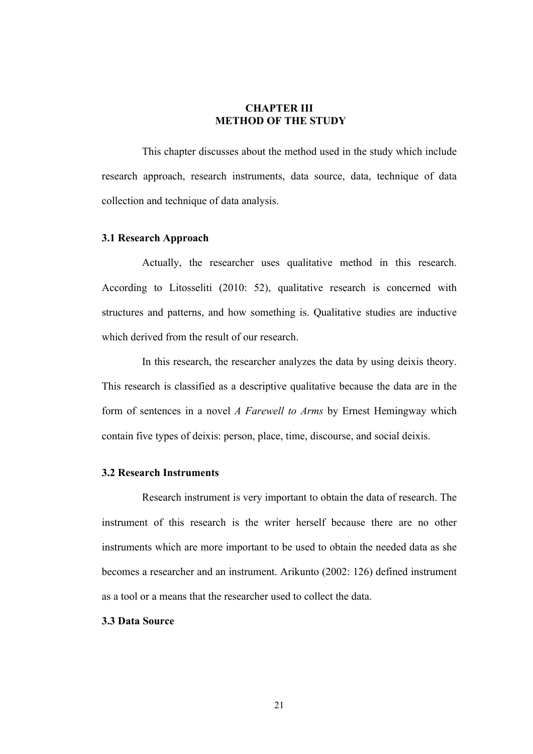# **CHAPTER III METHOD OF THE STUDY**

This chapter discusses about the method used in the study which include research approach, research instruments, data source, data, technique of data collection and technique of data analysis.

## **3.1 Research Approach**

Actually, the researcher uses qualitative method in this research. According to Litosseliti (2010: 52), qualitative research is concerned with structures and patterns, and how something is. Qualitative studies are inductive which derived from the result of our research.

In this research, the researcher analyzes the data by using deixis theory. This research is classified as a descriptive qualitative because the data are in the form of sentences in a novel *A Farewell to Arms* by Ernest Hemingway which contain five types of deixis: person, place, time, discourse, and social deixis.

## **3.2 Research Instruments**

Research instrument is very important to obtain the data of research. The instrument of this research is the writer herself because there are no other instruments which are more important to be used to obtain the needed data as she becomes a researcher and an instrument. Arikunto (2002: 126) defined instrument as a tool or a means that the researcher used to collect the data.

## **3.3 Data Source**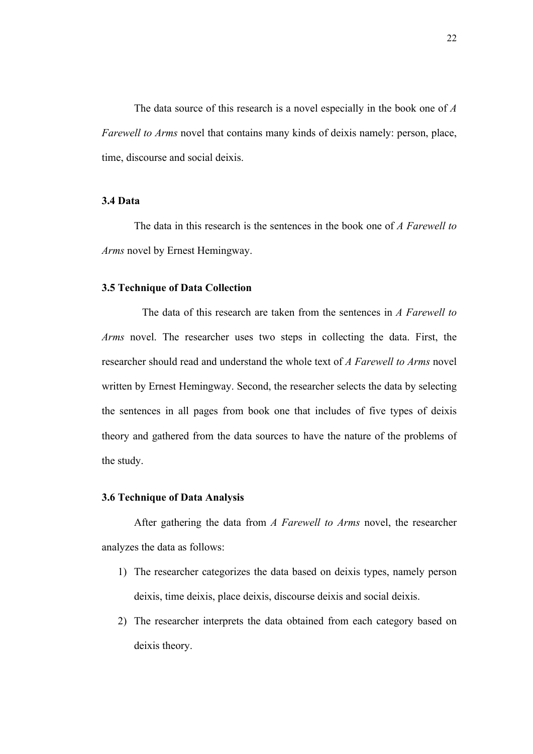The data source of this research is a novel especially in the book one of *A Farewell to Arms* novel that contains many kinds of deixis namely: person, place, time, discourse and social deixis.

# **3.4 Data**

The data in this research is the sentences in the book one of *A Farewell to Arms* novel by Ernest Hemingway.

#### **3.5 Technique of Data Collection**

The data of this research are taken from the sentences in *A Farewell to Arms* novel. The researcher uses two steps in collecting the data. First, the researcher should read and understand the whole text of *A Farewell to Arms* novel written by Ernest Hemingway. Second, the researcher selects the data by selecting the sentences in all pages from book one that includes of five types of deixis theory and gathered from the data sources to have the nature of the problems of the study.

#### **3.6 Technique of Data Analysis**

After gathering the data from *A Farewell to Arms* novel, the researcher analyzes the data as follows:

- 1) The researcher categorizes the data based on deixis types, namely person deixis, time deixis, place deixis, discourse deixis and social deixis.
- 2) The researcher interprets the data obtained from each category based on deixis theory.